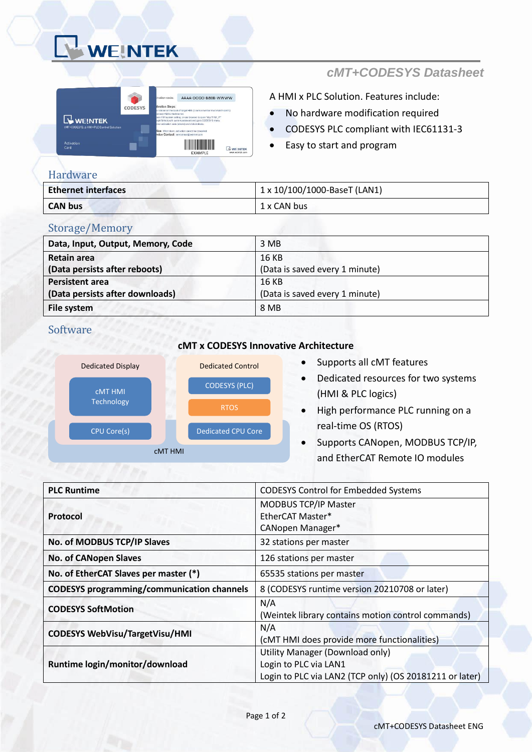# WEINTEK



## *cMT+CODESYS Datasheet*

A HMI x PLC Solution. Features include:

- No hardware modification required
- CODESYS PLC compliant with IEC61131-3
- Easy to start and program

#### Hardware

| <b>Ethernet interfaces</b> | 1 x 10/100/1000-BaseT (LAN1) |
|----------------------------|------------------------------|
| <b>CAN bus</b>             | 1 x CAN bus                  |

#### Storage/Memory

| Data, Input, Output, Memory, Code | 3 MB                           |
|-----------------------------------|--------------------------------|
| Retain area                       | 16 KB                          |
| (Data persists after reboots)     | (Data is saved every 1 minute) |
| <b>Persistent area</b>            | 16 KB                          |
| (Data persists after downloads)   | (Data is saved every 1 minute) |
| File system                       | 8 MB                           |

#### Software

#### **cMT x CODESYS Innovative Architecture**



#### • Supports all cMT features

- Dedicated resources for two systems (HMI & PLC logics)
- High performance PLC running on a real-time OS (RTOS)
- Supports CANopen, MODBUS TCP/IP, and EtherCAT Remote IO modules

| <b>PLC Runtime</b>                                | <b>CODESYS Control for Embedded Systems</b>             |
|---------------------------------------------------|---------------------------------------------------------|
| Protocol                                          | MODBUS TCP/IP Master                                    |
|                                                   | EtherCAT Master*                                        |
|                                                   | CANopen Manager*                                        |
| No. of MODBUS TCP/IP Slaves                       | 32 stations per master                                  |
| <b>No. of CANopen Slaves</b>                      | 126 stations per master                                 |
| No. of EtherCAT Slaves per master (*)             | 65535 stations per master                               |
| <b>CODESYS programming/communication channels</b> | 8 (CODESYS runtime version 20210708 or later)           |
| <b>CODESYS SoftMotion</b>                         | N/A                                                     |
|                                                   | (Weintek library contains motion control commands)      |
| <b>CODESYS WebVisu/TargetVisu/HMI</b>             | N/A                                                     |
|                                                   | (cMT HMI does provide more functionalities)             |
| Runtime login/monitor/download                    | Utility Manager (Download only)                         |
|                                                   | Login to PLC via LAN1                                   |
|                                                   | Login to PLC via LAN2 (TCP only) (OS 20181211 or later) |